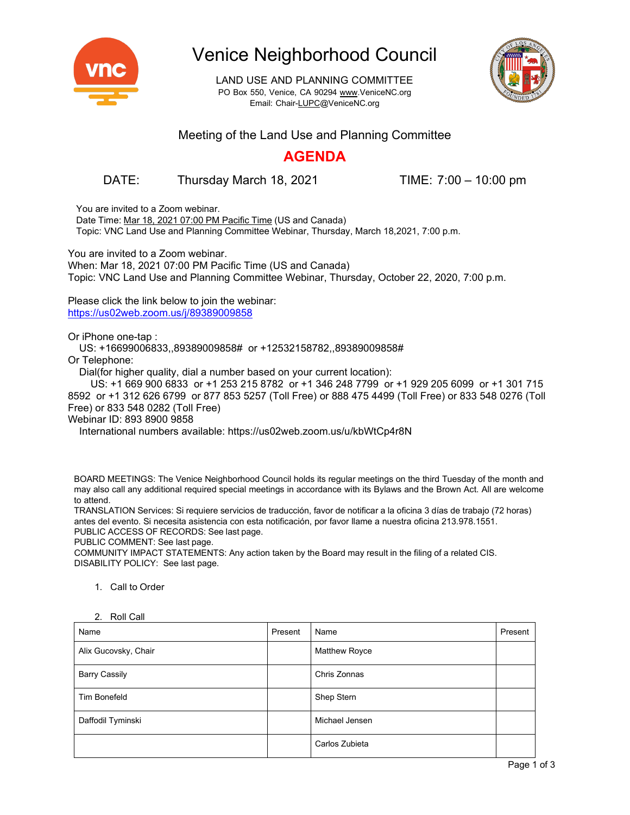

# Venice Neighborhood Council

LAND USE AND PLANNING COMMITTEE PO Box 550, Venice, CA 90294 [www.VeniceNC.org](http://www.venicenc.org/) Email: [Chair-LUPC@VeniceNC.org](mailto:Chair-LUPC@VeniceNC.org)



#### Meeting of the Land Use and Planning Committee

### **AGENDA**

DATE: Thursday March 18, 2021 TIME: 7:00 – 10:00 pm

You are invited to a Zoom webinar.

Date Time: Mar 18, 2021 07:00 PM Pacific Time (US and Canada) Topic: VNC Land Use and Planning Committee Webinar, Thursday, March 18,2021, 7:00 p.m.

You are invited to a Zoom webinar. When: Mar 18, 2021 07:00 PM Pacific Time (US and Canada) Topic: VNC Land Use and Planning Committee Webinar, Thursday, October 22, 2020, 7:00 p.m.

Please click the link below to join the webinar: <https://us02web.zoom.us/j/89389009858>

Or iPhone one-tap :

US: +16699006833,,89389009858# or +12532158782,,89389009858#

Or Telephone:

Dial(for higher quality, dial a number based on your current location):

 US: +1 669 900 6833 or +1 253 215 8782 or +1 346 248 7799 or +1 929 205 6099 or +1 301 715 8592 or +1 312 626 6799 or 877 853 5257 (Toll Free) or 888 475 4499 (Toll Free) or 833 548 0276 (Toll Free) or 833 548 0282 (Toll Free)

Webinar ID: 893 8900 9858

International numbers available: https://us02web.zoom.us/u/kbWtCp4r8N

BOARD MEETINGS: The Venice Neighborhood Council holds its regular meetings on the third Tuesday of the month and may also call any additional required special meetings in accordance with its Bylaws and the Brown Act. All are welcome to attend.

TRANSLATION Services: Si requiere servicios de traducción, favor de notificar a la oficina 3 días de trabajo (72 horas) antes del evento. Si necesita asistencia con esta notificación, por favor llame a nuestra oficina 213.978.1551. PUBLIC ACCESS OF RECORDS: See last page.

PUBLIC COMMENT: See last page.

COMMUNITY IMPACT STATEMENTS: Any action taken by the Board may result in the filing of a related CIS. DISABILITY POLICY: See last page.

1. Call to Order

| Name                 | Present | Name                 | Present |
|----------------------|---------|----------------------|---------|
| Alix Gucovsky, Chair |         | <b>Matthew Royce</b> |         |
| <b>Barry Cassily</b> |         | Chris Zonnas         |         |
| Tim Bonefeld         |         | Shep Stern           |         |
| Daffodil Tyminski    |         | Michael Jensen       |         |
|                      |         | Carlos Zubieta       |         |

2. Roll Call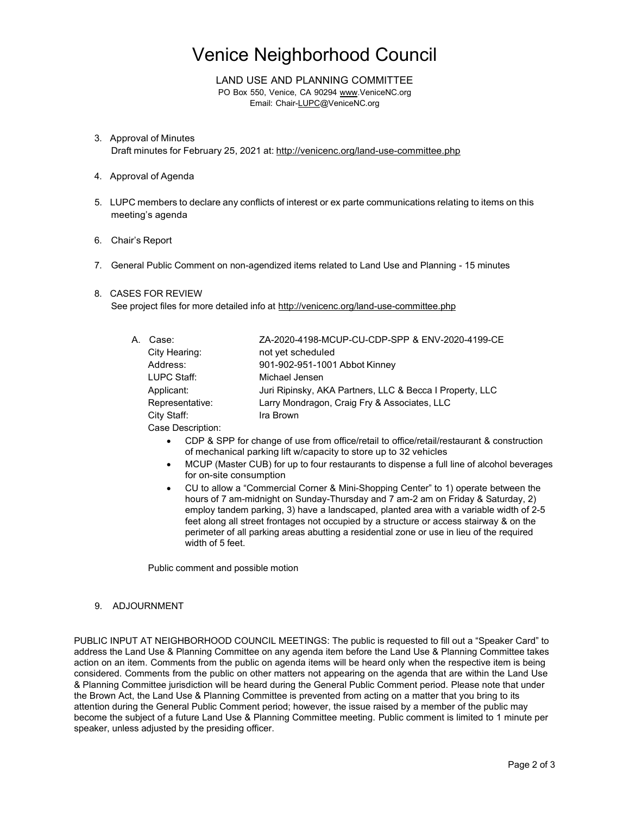# Venice Neighborhood Council

LAND USE AND PLANNING COMMITTEE PO Box 550, Venice, CA 90294 [www.VeniceNC.org](http://www.venicenc.org/) Email: [Chair-LUPC@VeniceNC.org](mailto:Chair-LUPC@VeniceNC.org)

- 3. Approval of Minutes Draft minutes for February 25, 2021 at: <http://venicenc.org/land-use-committee.php>
- 4. Approval of Agenda
- 5. LUPC members to declare any conflicts of interest or ex parte communications relating to items on this meeting's agenda
- 6. Chair's Report
- 7. General Public Comment on non-agendized items related to Land Use and Planning 15 minutes

#### 8. CASES FOR REVIEW

See project files for more detailed info at <http://venicenc.org/land-use-committee.php>

| А. | Case:           | ZA-2020-4198-MCUP-CU-CDP-SPP & ENV-2020-4199-CE          |
|----|-----------------|----------------------------------------------------------|
|    | City Hearing:   | not yet scheduled                                        |
|    | Address:        | 901-902-951-1001 Abbot Kinney                            |
|    | LUPC Staff:     | Michael Jensen                                           |
|    | Applicant:      | Juri Ripinsky, AKA Partners, LLC & Becca I Property, LLC |
|    | Representative: | Larry Mondragon, Craig Fry & Associates, LLC             |
|    | City Staff:     | Ira Brown                                                |
|    |                 |                                                          |

Case Description:

- CDP & SPP for change of use from office/retail to office/retail/restaurant & construction of mechanical parking lift w/capacity to store up to 32 vehicles
- MCUP (Master CUB) for up to four restaurants to dispense a full line of alcohol beverages for on-site consumption
- CU to allow a "Commercial Corner & Mini-Shopping Center" to 1) operate between the hours of 7 am-midnight on Sunday-Thursday and 7 am-2 am on Friday & Saturday, 2) employ tandem parking, 3) have a landscaped, planted area with a variable width of 2-5 feet along all street frontages not occupied by a structure or access stairway & on the perimeter of all parking areas abutting a residential zone or use in lieu of the required width of 5 feet.

Public comment and possible motion

#### 9. ADJOURNMENT

PUBLIC INPUT AT NEIGHBORHOOD COUNCIL MEETINGS: The public is requested to fill out a "Speaker Card" to address the Land Use & Planning Committee on any agenda item before the Land Use & Planning Committee takes action on an item. Comments from the public on agenda items will be heard only when the respective item is being considered. Comments from the public on other matters not appearing on the agenda that are within the Land Use & Planning Committee jurisdiction will be heard during the General Public Comment period. Please note that under the Brown Act, the Land Use & Planning Committee is prevented from acting on a matter that you bring to its attention during the General Public Comment period; however, the issue raised by a member of the public may become the subject of a future Land Use & Planning Committee meeting. Public comment is limited to 1 minute per speaker, unless adjusted by the presiding officer.